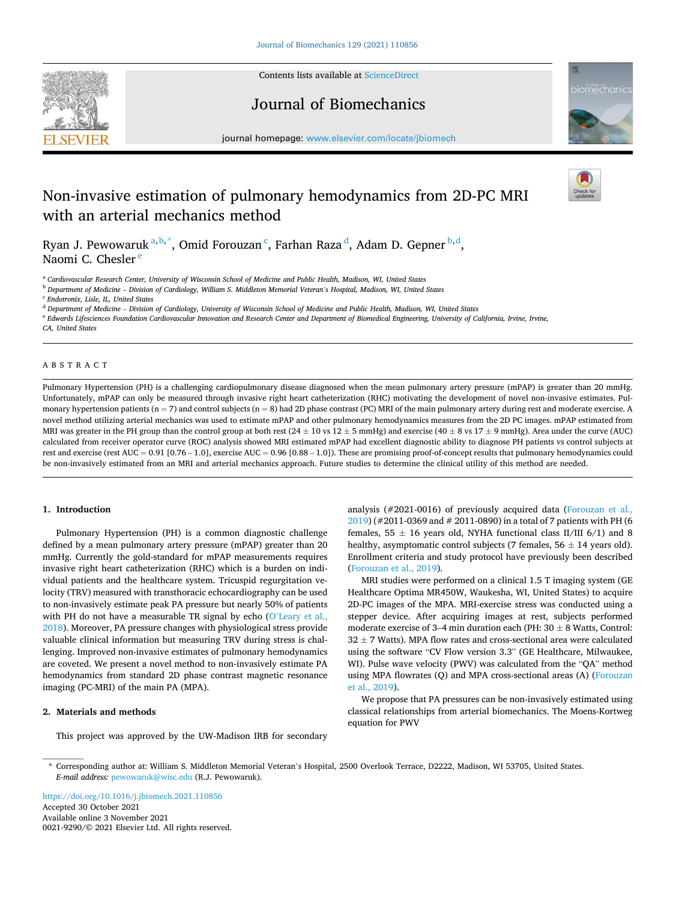

Contents lists available at [ScienceDirect](www.sciencedirect.com/science/journal/00219290)

## Journal of Biomechanics



journal homepage: [www.elsevier.com/locate/jbiomech](https://www.elsevier.com/locate/jbiomech) 

# Non-invasive estimation of pulmonary hemodynamics from 2D-PC MRI with an arterial mechanics method



Ryan J. Pewowaruk $a,b,*$ , Omid Forouzan $\,^{\mathsf{c}}$ , Farhan Raza $\,^\mathsf{d}$ , Adam D. Gepner $\,^{\mathsf{b},\mathsf{d}},$ Naomi C. Chesler<sup>e</sup>

<sup>a</sup> *Cardiovascular Research Center, University of Wisconsin School of Medicine and Public Health, Madison, WI, United States* 

<sup>b</sup> *Department of Medicine* – *Division of Cardiology, William S. Middleton Memorial Veteran's Hospital, Madison, WI, United States* 

<sup>c</sup> *Endotronix, Lisle, IL, United States* 

<sup>d</sup> *Department of Medicine* – *Division of Cardiology, University of Wisconsin School of Medicine and Public Health, Madison, WI, United States* 

<sup>e</sup> *Edwards Lifesciences Foundation Cardiovascular Innovation and Research Center and Department of Biomedical Engineering, University of California, Irvine, Irvine,* 

*CA, United States* 

## ABSTRACT

Pulmonary Hypertension (PH) is a challenging cardiopulmonary disease diagnosed when the mean pulmonary artery pressure (mPAP) is greater than 20 mmHg. Unfortunately, mPAP can only be measured through invasive right heart catheterization (RHC) motivating the development of novel non-invasive estimates. Pulmonary hypertension patients ( $n = 7$ ) and control subjects ( $n = 8$ ) had 2D phase contrast (PC) MRI of the main pulmonary artery during rest and moderate exercise. A novel method utilizing arterial mechanics was used to estimate mPAP and other pulmonary hemodynamics measures from the 2D PC images. mPAP estimated from MRI was greater in the PH group than the control group at both rest  $(24 \pm 10 \text{ vs } 12 \pm 5 \text{ mmHg})$  and exercise  $(40 \pm 8 \text{ vs } 17 \pm 9 \text{ mmHg})$ . Area under the curve (AUC) calculated from receiver operator curve (ROC) analysis showed MRI estimated mPAP had excellent diagnostic ability to diagnose PH patients vs control subjects at rest and exercise (rest AUC = 0.91 [0.76 – 1.0], exercise AUC = 0.96 [0.88 – 1.0]). These are promising proof-of-concept results that pulmonary hemodynamics could be non-invasively estimated from an MRI and arterial mechanics approach. Future studies to determine the clinical utility of this method are needed.

## **1. Introduction**

Pulmonary Hypertension (PH) is a common diagnostic challenge defined by a mean pulmonary artery pressure (mPAP) greater than 20 mmHg. Currently the gold-standard for mPAP measurements requires invasive right heart catheterization (RHC) which is a burden on individual patients and the healthcare system. Tricuspid regurgitation velocity (TRV) measured with transthoracic echocardiography can be used to non-invasively estimate peak PA pressure but nearly 50% of patients with PH do not have a measurable TR signal by echo (O'Leary et al., [2018\)](#page-2-0). Moreover, PA pressure changes with physiological stress provide valuable clinical information but measuring TRV during stress is challenging. Improved non-invasive estimates of pulmonary hemodynamics are coveted. We present a novel method to non-invasively estimate PA hemodynamics from standard 2D phase contrast magnetic resonance imaging (PC-MRI) of the main PA (MPA).

## **2. Materials and methods**

This project was approved by the UW-Madison IRB for secondary

analysis (#2021-0016) of previously acquired data ([Forouzan et al.,](#page-2-0)  [2019\)](#page-2-0) (#2011-0369 and # 2011-0890) in a total of 7 patients with PH (6 females,  $55 \pm 16$  years old, NYHA functional class II/III 6/1) and 8 healthy, asymptomatic control subjects (7 females,  $56 \pm 14$  years old). Enrollment criteria and study protocol have previously been described ([Forouzan et al., 2019](#page-2-0)).

MRI studies were performed on a clinical 1.5 T imaging system (GE Healthcare Optima MR450W, Waukesha, WI, United States) to acquire 2D-PC images of the MPA. MRI-exercise stress was conducted using a stepper device. After acquiring images at rest, subjects performed moderate exercise of 3–4 min duration each (PH:  $30 \pm 8$  Watts, Control:  $32 \pm 7$  Watts). MPA flow rates and cross-sectional area were calculated using the software "CV Flow version 3.3" (GE Healthcare, Milwaukee, WI). Pulse wave velocity (PWV) was calculated from the "QA" method using MPA flowrates (Q) and MPA cross-sectional areas (A) ([Forouzan](#page-2-0)  [et al., 2019\)](#page-2-0).

We propose that PA pressures can be non-invasively estimated using classical relationships from arterial biomechanics. The Moens-Kortweg equation for PWV

Available online 3 November 2021 0021-9290/© 2021 Elsevier Ltd. All rights reserved. <https://doi.org/10.1016/j.jbiomech.2021.110856> Accepted 30 October 2021

<sup>\*</sup> Corresponding author at: William S. Middleton Memorial Veteran's Hospital, 2500 Overlook Terrace, D2222, Madison, WI 53705, United States. *E-mail address:* [pewowaruk@wisc.edu](mailto:pewowaruk@wisc.edu) (R.J. Pewowaruk).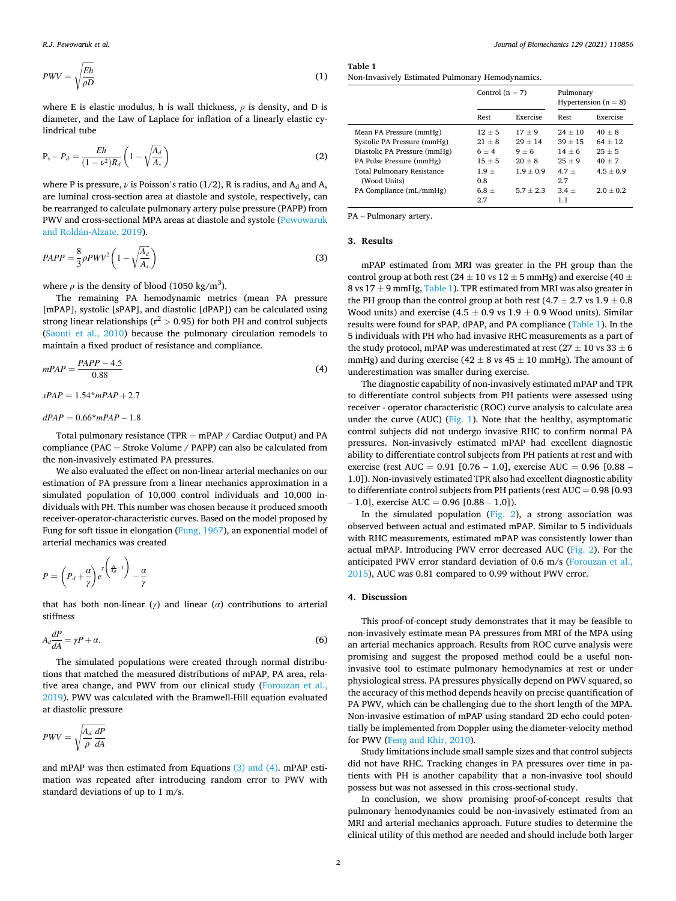$$
PWV = \sqrt{\frac{Eh}{\rho D}}\tag{1}
$$

where E is elastic modulus, h is wall thickness,  $\rho$  is density, and D is diameter, and the Law of Laplace for inflation of a linearly elastic cylindrical tube

$$
P_s - P_d = \frac{Eh}{(1 - \nu^2)R_d} \left(1 - \sqrt{\frac{A_d}{A_s}}\right)
$$
 (2)

where P is pressure,  $\nu$  is Poisson's ratio (1/2), R is radius, and A<sub>d</sub> and A<sub>s</sub> are luminal cross-section area at diastole and systole, respectively, can be rearranged to calculate pulmonary artery pulse pressure (PAPP) from PWV and cross-sectional MPA areas at diastole and systole [\(Pewowaruk](#page-2-0)  and Roldán-Alzate, 2019).

$$
PAPP = \frac{8}{3}\rho P W V^2 \left(1 - \sqrt{\frac{A_d}{A_s}}\right) \tag{3}
$$

where  $\rho$  is the density of blood (1050 kg/m<sup>3</sup>).

The remaining PA hemodynamic metrics (mean PA pressure [mPAP], systolic [sPAP], and diastolic [dPAP]) can be calculated using strong linear relationships ( $r^2 > 0.95$ ) for both PH and control subjects ([Saouti et al., 2010](#page-2-0)) because the pulmonary circulation remodels to maintain a fixed product of resistance and compliance.

$$
mPAP = \frac{PAPP - 4.5}{0.88} \tag{4}
$$

$$
sPAP = 1.54 \cdot mPAP + 2.7
$$

 $dPAP = 0.66* mPAP - 1.8$ 

Total pulmonary resistance (TPR = mPAP / Cardiac Output) and PA compliance (PAC = Stroke Volume / PAPP) can also be calculated from the non-invasively estimated PA pressures.

We also evaluated the effect on non-linear arterial mechanics on our estimation of PA pressure from a linear mechanics approximation in a simulated population of 10,000 control individuals and 10,000 individuals with PH. This number was chosen because it produced smooth receiver-operator-characteristic curves. Based on the model proposed by Fung for soft tissue in elongation [\(Fung, 1967\)](#page-2-0), an exponential model of arterial mechanics was created

$$
P = \left(P_d + \frac{\alpha}{\gamma}\right) e^{\gamma \left(\frac{A}{\lambda_d} - 1\right)} - \frac{\alpha}{\gamma}
$$

that has both non-linear (*γ*) and linear (*α*) contributions to arterial stiffness

$$
A_d \frac{dP}{dA} = \gamma P + \alpha. \tag{6}
$$

The simulated populations were created through normal distributions that matched the measured distributions of mPAP, PA area, relative area change, and PWV from our clinical study [\(Forouzan et al.,](#page-2-0)  [2019\)](#page-2-0). PWV was calculated with the Bramwell-Hill equation evaluated at diastolic pressure

$$
PWV = \sqrt{\frac{A_d}{\rho}} \frac{dP}{dA}
$$

and mPAP was then estimated from Equations (3) and (4). mPAP estimation was repeated after introducing random error to PWV with standard deviations of up to 1 m/s.

**Table 1**  Non-Invasively Estimated Pulmonary Hemodynamics.

|                                   | Control $(n = 7)$ |             | Pulmonary<br>Hypertension $(n = 8)$ |             |
|-----------------------------------|-------------------|-------------|-------------------------------------|-------------|
|                                   | Rest              | Exercise    | Rest                                | Exercise    |
| Mean PA Pressure (mmHg)           | $12 + 5$          | $17 + 9$    | $24 + 10$                           | $40 + 8$    |
| Systolic PA Pressure (mmHg)       | $21 + 8$          | $29 + 14$   | $39 + 15$                           | $64 + 12$   |
| Diastolic PA Pressure (mmHg)      | $6 + 4$           | $9 + 6$     | $14 + 6$                            | $25 + 5$    |
| PA Pulse Pressure (mmHg)          | $15 + 5$          | $20 + 8$    | $25 + 9$                            | $40 + 7$    |
| <b>Total Pulmonary Resistance</b> | $1.9 +$           | $1.9 + 0.9$ | $4.7 +$                             | $4.5 + 0.9$ |
| (Wood Units)                      | 0.8               |             | 2.7                                 |             |
| PA Compliance (mL/mmHg)           | $6.8 +$           | $5.7 + 2.3$ | $3.4 +$                             | $2.0 + 0.2$ |
|                                   | 2.7               |             | 1.1                                 |             |

PA – Pulmonary artery.

### **3. Results**

mPAP estimated from MRI was greater in the PH group than the control group at both rest (24  $\pm$  10 vs 12  $\pm$  5 mmHg) and exercise (40  $\pm$ 8 vs  $17 \pm 9$  mmHg, Table 1). TPR estimated from MRI was also greater in the PH group than the control group at both rest  $(4.7 \pm 2.7 \text{ vs } 1.9 \pm 0.8$ Wood units) and exercise (4.5  $\pm$  0.9 vs 1.9  $\pm$  0.9 Wood units). Similar results were found for sPAP, dPAP, and PA compliance (Table 1). In the 5 individuals with PH who had invasive RHC measurements as a part of the study protocol, mPAP was underestimated at rest ( $27 \pm 10$  vs  $33 \pm 6$ ) mmHg) and during exercise (42  $\pm$  8 vs 45  $\pm$  10 mmHg). The amount of underestimation was smaller during exercise.

The diagnostic capability of non-invasively estimated mPAP and TPR to differentiate control subjects from PH patients were assessed using receiver - operator characteristic (ROC) curve analysis to calculate area under the curve (AUC) ([Fig. 1](#page-2-0)). Note that the healthy, asymptomatic control subjects did not undergo invasive RHC to confirm normal PA pressures. Non-invasively estimated mPAP had excellent diagnostic ability to differentiate control subjects from PH patients at rest and with exercise (rest AUC = 0.91 [0.76 – 1.0], exercise AUC = 0.96 [0.88 – 1.0]). Non-invasively estimated TPR also had excellent diagnostic ability to differentiate control subjects from PH patients (rest AUC = 0.98 [0.93  $-1.0$ ], exercise AUC = 0.96 [0.88 - 1.0]).

In the simulated population ([Fig. 2\)](#page-2-0), a strong association was observed between actual and estimated mPAP. Similar to 5 individuals with RHC measurements, estimated mPAP was consistently lower than actual mPAP. Introducing PWV error decreased AUC ([Fig. 2](#page-2-0)). For the anticipated PWV error standard deviation of 0.6 m/s ([Forouzan et al.,](#page-2-0)  [2015\)](#page-2-0), AUC was 0.81 compared to 0.99 without PWV error.

#### **4. Discussion**

This proof-of-concept study demonstrates that it may be feasible to non-invasively estimate mean PA pressures from MRI of the MPA using an arterial mechanics approach. Results from ROC curve analysis were promising and suggest the proposed method could be a useful noninvasive tool to estimate pulmonary hemodynamics at rest or under physiological stress. PA pressures physically depend on PWV squared, so the accuracy of this method depends heavily on precise quantification of PA PWV, which can be challenging due to the short length of the MPA. Non-invasive estimation of mPAP using standard 2D echo could potentially be implemented from Doppler using the diameter-velocity method for PWV ([Feng and Khir, 2010](#page-2-0)).

Study limitations include small sample sizes and that control subjects did not have RHC. Tracking changes in PA pressures over time in patients with PH is another capability that a non-invasive tool should possess but was not assessed in this cross-sectional study.

In conclusion, we show promising proof-of-concept results that pulmonary hemodynamics could be non-invasively estimated from an MRI and arterial mechanics approach. Future studies to determine the clinical utility of this method are needed and should include both larger